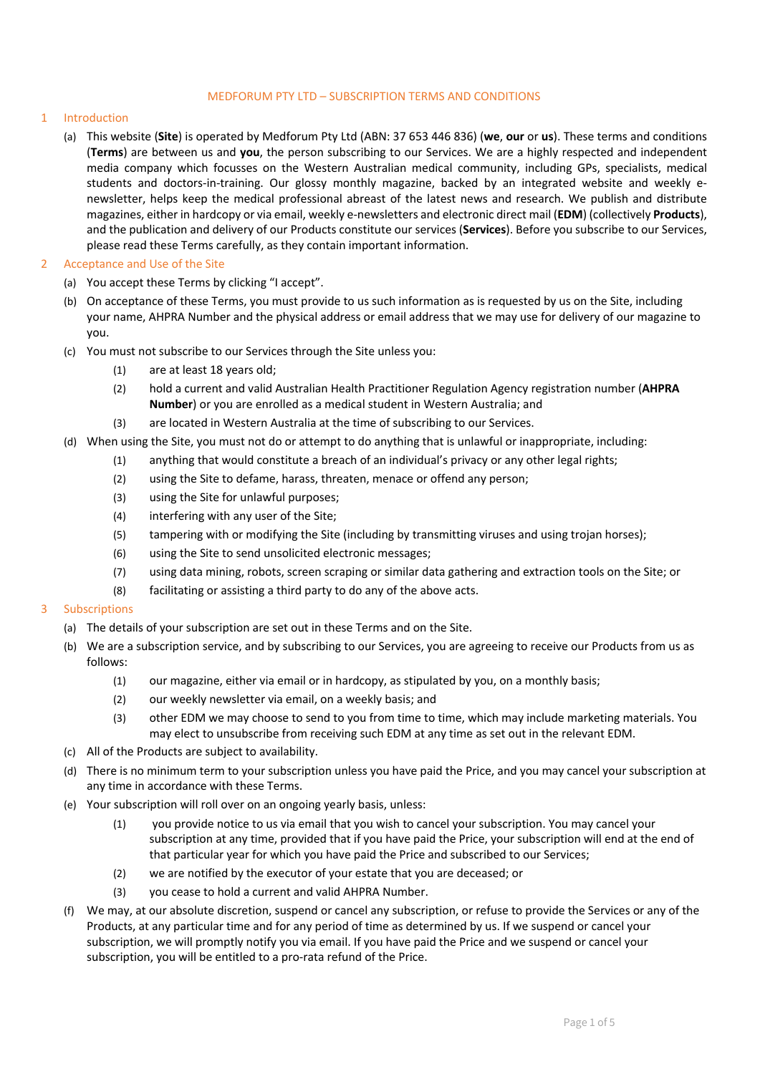#### MEDFORUM PTY LTD – SUBSCRIPTION TERMS AND CONDITIONS

# 1 Introduction

(a) This website (**Site**) is operated by Medforum Pty Ltd (ABN: 37 653 446 836) (**we**, **our** or **us**). These terms and conditions (**Terms**) are between us and **you**, the person subscribing to our Services. We are a highly respected and independent media company which focusses on the Western Australian medical community, including GPs, specialists, medical students and doctors-in-training. Our glossy monthly magazine, backed by an integrated website and weekly enewsletter, helps keep the medical professional abreast of the latest news and research. We publish and distribute magazines, either in hardcopy or via email, weekly e-newsletters and electronic direct mail (**EDM**) (collectively **Products**), and the publication and delivery of our Products constitute our services (**Services**). Before you subscribe to our Services, please read these Terms carefully, as they contain important information.

# 2 Acceptance and Use of the Site

- (a) You accept these Terms by clicking "I accept".
- (b) On acceptance of these Terms, you must provide to us such information as is requested by us on the Site, including your name, AHPRA Number and the physical address or email address that we may use for delivery of our magazine to you.
- (c) You must not subscribe to our Services through the Site unless you:
	- (1) are at least 18 years old;
	- (2) hold a current and valid Australian Health Practitioner Regulation Agency registration number (**AHPRA Number**) or you are enrolled as a medical student in Western Australia; and
	- (3) are located in Western Australia at the time of subscribing to our Services.
- (d) When using the Site, you must not do or attempt to do anything that is unlawful or inappropriate, including:
	- (1) anything that would constitute a breach of an individual's privacy or any other legal rights;
	- (2) using the Site to defame, harass, threaten, menace or offend any person;
	- (3) using the Site for unlawful purposes;
	- (4) interfering with any user of the Site;
	- (5) tampering with or modifying the Site (including by transmitting viruses and using trojan horses);
	- (6) using the Site to send unsolicited electronic messages;
	- (7) using data mining, robots, screen scraping or similar data gathering and extraction tools on the Site; or
	- (8) facilitating or assisting a third party to do any of the above acts.

# 3 Subscriptions

- (a) The details of your subscription are set out in these Terms and on the Site.
- (b) We are a subscription service, and by subscribing to our Services, you are agreeing to receive our Products from us as follows:
	- (1) our magazine, either via email or in hardcopy, as stipulated by you, on a monthly basis;
	- (2) our weekly newsletter via email, on a weekly basis; and
	- (3) other EDM we may choose to send to you from time to time, which may include marketing materials. You may elect to unsubscribe from receiving such EDM at any time as set out in the relevant EDM.
- (c) All of the Products are subject to availability.
- (d) There is no minimum term to your subscription unless you have paid the Price, and you may cancel your subscription at any time in accordance with these Terms.
- (e) Your subscription will roll over on an ongoing yearly basis, unless:
	- (1) you provide notice to us via email that you wish to cancel your subscription. You may cancel your subscription at any time, provided that if you have paid the Price, your subscription will end at the end of that particular year for which you have paid the Price and subscribed to our Services;
	- (2) we are notified by the executor of your estate that you are deceased; or
	- (3) you cease to hold a current and valid AHPRA Number.
- (f) We may, at our absolute discretion, suspend or cancel any subscription, or refuse to provide the Services or any of the Products, at any particular time and for any period of time as determined by us. If we suspend or cancel your subscription, we will promptly notify you via email. If you have paid the Price and we suspend or cancel your subscription, you will be entitled to a pro-rata refund of the Price.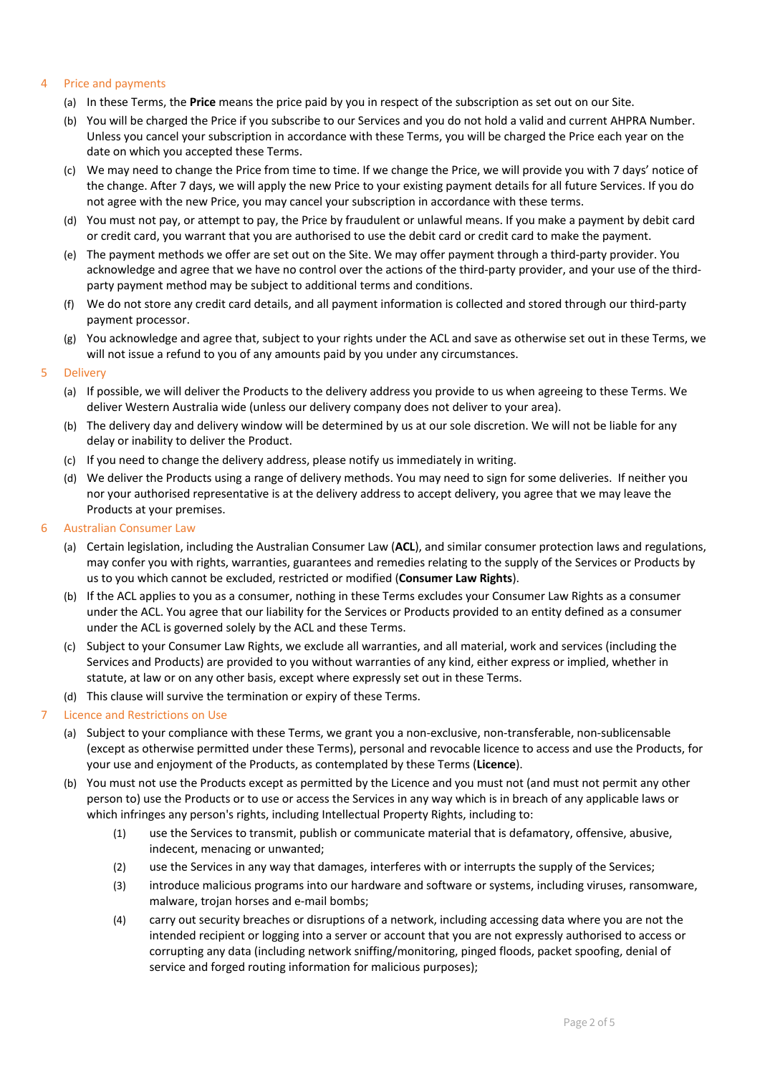### 4 Price and payments

- (a) In these Terms, the **Price** means the price paid by you in respect of the subscription as set out on our Site.
- (b) You will be charged the Price if you subscribe to our Services and you do not hold a valid and current AHPRA Number. Unless you cancel your subscription in accordance with these Terms, you will be charged the Price each year on the date on which you accepted these Terms.
- (c) We may need to change the Price from time to time. If we change the Price, we will provide you with 7 days' notice of the change. After 7 days, we will apply the new Price to your existing payment details for all future Services. If you do not agree with the new Price, you may cancel your subscription in accordance with these terms.
- (d) You must not pay, or attempt to pay, the Price by fraudulent or unlawful means. If you make a payment by debit card or credit card, you warrant that you are authorised to use the debit card or credit card to make the payment.
- (e) The payment methods we offer are set out on the Site. We may offer payment through a third-party provider. You acknowledge and agree that we have no control over the actions of the third-party provider, and your use of the thirdparty payment method may be subject to additional terms and conditions.
- (f) We do not store any credit card details, and all payment information is collected and stored through our third-party payment processor.
- (g) You acknowledge and agree that, subject to your rights under the ACL and save as otherwise set out in these Terms, we will not issue a refund to you of any amounts paid by you under any circumstances.

#### 5 Delivery

- (a) If possible, we will deliver the Products to the delivery address you provide to us when agreeing to these Terms. We deliver Western Australia wide (unless our delivery company does not deliver to your area).
- (b) The delivery day and delivery window will be determined by us at our sole discretion. We will not be liable for any delay or inability to deliver the Product.
- (c) If you need to change the delivery address, please notify us immediately in writing.
- (d) We deliver the Products using a range of delivery methods. You may need to sign for some deliveries. If neither you nor your authorised representative is at the delivery address to accept delivery, you agree that we may leave the Products at your premises.
- 6 Australian Consumer Law
	- (a) Certain legislation, including the Australian Consumer Law (**ACL**), and similar consumer protection laws and regulations, may confer you with rights, warranties, guarantees and remedies relating to the supply of the Services or Products by us to you which cannot be excluded, restricted or modified (**Consumer Law Rights**).
	- (b) If the ACL applies to you as a consumer, nothing in these Terms excludes your Consumer Law Rights as a consumer under the ACL. You agree that our liability for the Services or Products provided to an entity defined as a consumer under the ACL is governed solely by the ACL and these Terms.
	- (c) Subject to your Consumer Law Rights, we exclude all warranties, and all material, work and services (including the Services and Products) are provided to you without warranties of any kind, either express or implied, whether in statute, at law or on any other basis, except where expressly set out in these Terms.
	- (d) This clause will survive the termination or expiry of these Terms.

#### 7 Licence and Restrictions on Use

- (a) Subject to your compliance with these Terms, we grant you a non-exclusive, non-transferable, non-sublicensable (except as otherwise permitted under these Terms), personal and revocable licence to access and use the Products, for your use and enjoyment of the Products, as contemplated by these Terms (**Licence**).
- (b) You must not use the Products except as permitted by the Licence and you must not (and must not permit any other person to) use the Products or to use or access the Services in any way which is in breach of any applicable laws or which infringes any person's rights, including Intellectual Property Rights, including to:
	- (1) use the Services to transmit, publish or communicate material that is defamatory, offensive, abusive, indecent, menacing or unwanted;
	- (2) use the Services in any way that damages, interferes with or interrupts the supply of the Services;
	- (3) introduce malicious programs into our hardware and software or systems, including viruses, ransomware, malware, trojan horses and e-mail bombs;
	- (4) carry out security breaches or disruptions of a network, including accessing data where you are not the intended recipient or logging into a server or account that you are not expressly authorised to access or corrupting any data (including network sniffing/monitoring, pinged floods, packet spoofing, denial of service and forged routing information for malicious purposes);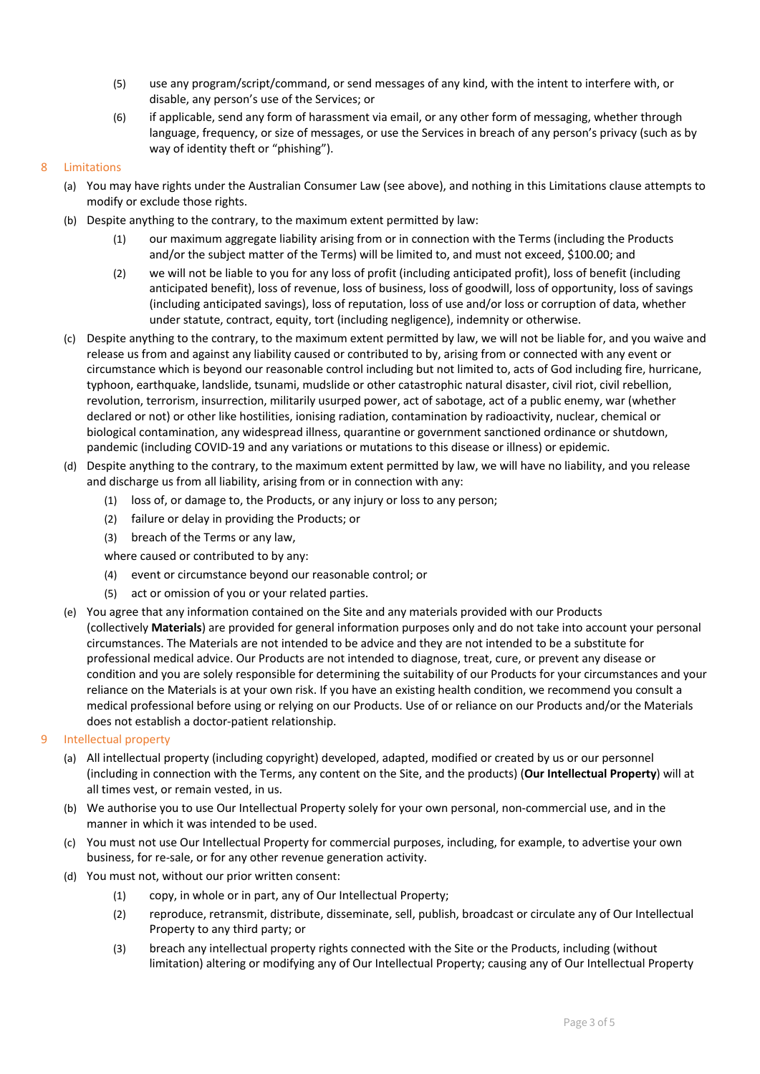- (5) use any program/script/command, or send messages of any kind, with the intent to interfere with, or disable, any person's use of the Services; or
- (6) if applicable, send any form of harassment via email, or any other form of messaging, whether through language, frequency, or size of messages, or use the Services in breach of any person's privacy (such as by way of identity theft or "phishing").

# 8 Limitations

- (a) You may have rights under the Australian Consumer Law (see above), and nothing in this Limitations clause attempts to modify or exclude those rights.
- (b) Despite anything to the contrary, to the maximum extent permitted by law:
	- (1) our maximum aggregate liability arising from or in connection with the Terms (including the Products and/or the subject matter of the Terms) will be limited to, and must not exceed, \$100.00; and
	- (2) we will not be liable to you for any loss of profit (including anticipated profit), loss of benefit (including anticipated benefit), loss of revenue, loss of business, loss of goodwill, loss of opportunity, loss of savings (including anticipated savings), loss of reputation, loss of use and/or loss or corruption of data, whether under statute, contract, equity, tort (including negligence), indemnity or otherwise.
- (c) Despite anything to the contrary, to the maximum extent permitted by law, we will not be liable for, and you waive and release us from and against any liability caused or contributed to by, arising from or connected with any event or circumstance which is beyond our reasonable control including but not limited to, acts of God including fire, hurricane, typhoon, earthquake, landslide, tsunami, mudslide or other catastrophic natural disaster, civil riot, civil rebellion, revolution, terrorism, insurrection, militarily usurped power, act of sabotage, act of a public enemy, war (whether declared or not) or other like hostilities, ionising radiation, contamination by radioactivity, nuclear, chemical or biological contamination, any widespread illness, quarantine or government sanctioned ordinance or shutdown, pandemic (including COVID-19 and any variations or mutations to this disease or illness) or epidemic.
- (d) Despite anything to the contrary, to the maximum extent permitted by law, we will have no liability, and you release and discharge us from all liability, arising from or in connection with any:
	- (1) loss of, or damage to, the Products, or any injury or loss to any person;
	- (2) failure or delay in providing the Products; or
	- (3) breach of the Terms or any law,
	- where caused or contributed to by any:
	- (4) event or circumstance beyond our reasonable control; or
	- (5) act or omission of you or your related parties.
- (e) You agree that any information contained on the Site and any materials provided with our Products (collectively **Materials**) are provided for general information purposes only and do not take into account your personal circumstances. The Materials are not intended to be advice and they are not intended to be a substitute for professional medical advice. Our Products are not intended to diagnose, treat, cure, or prevent any disease or condition and you are solely responsible for determining the suitability of our Products for your circumstances and your reliance on the Materials is at your own risk. If you have an existing health condition, we recommend you consult a medical professional before using or relying on our Products. Use of or reliance on our Products and/or the Materials does not establish a doctor-patient relationship.
- 9 Intellectual property
	- (a) All intellectual property (including copyright) developed, adapted, modified or created by us or our personnel (including in connection with the Terms, any content on the Site, and the products) (**Our Intellectual Property**) will at all times vest, or remain vested, in us.
	- (b) We authorise you to use Our Intellectual Property solely for your own personal, non-commercial use, and in the manner in which it was intended to be used.
	- (c) You must not use Our Intellectual Property for commercial purposes, including, for example, to advertise your own business, for re-sale, or for any other revenue generation activity.
	- (d) You must not, without our prior written consent:
		- (1) copy, in whole or in part, any of Our Intellectual Property;
		- (2) reproduce, retransmit, distribute, disseminate, sell, publish, broadcast or circulate any of Our Intellectual Property to any third party; or
		- (3) breach any intellectual property rights connected with the Site or the Products, including (without limitation) altering or modifying any of Our Intellectual Property; causing any of Our Intellectual Property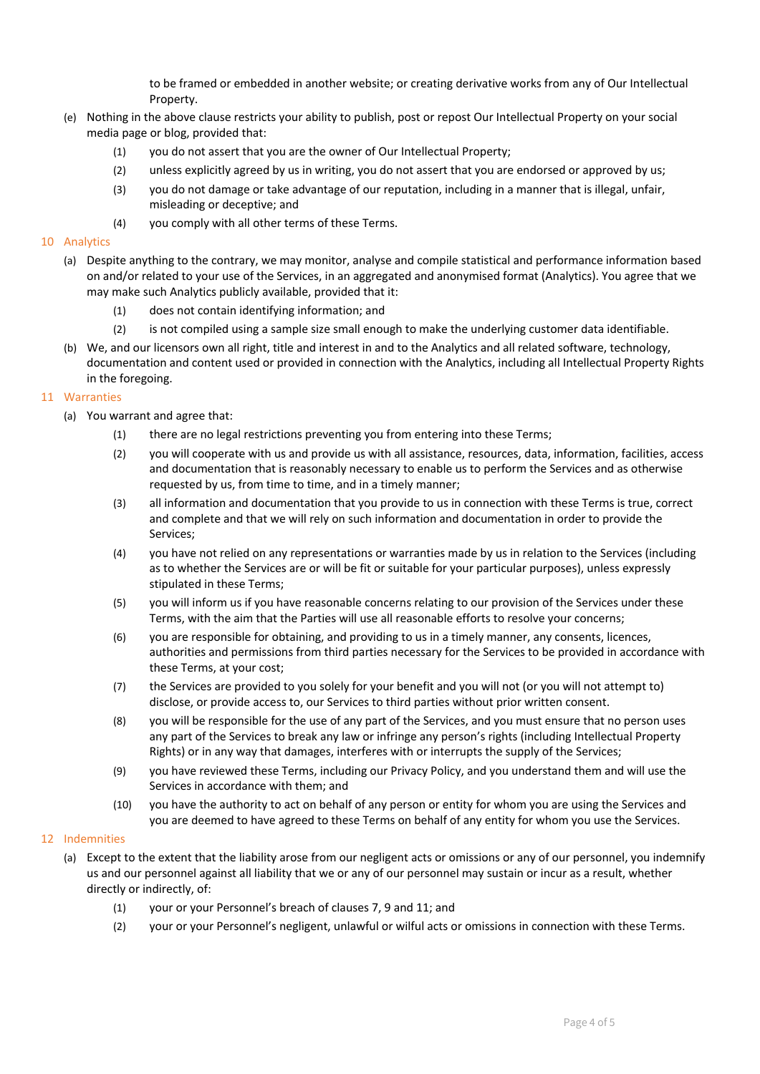to be framed or embedded in another website; or creating derivative works from any of Our Intellectual Property.

- (e) Nothing in the above clause restricts your ability to publish, post or repost Our Intellectual Property on your social media page or blog, provided that:
	- (1) you do not assert that you are the owner of Our Intellectual Property;
	- (2) unless explicitly agreed by us in writing, you do not assert that you are endorsed or approved by us;
	- (3) you do not damage or take advantage of our reputation, including in a manner that is illegal, unfair, misleading or deceptive; and
	- (4) you comply with all other terms of these Terms.

### 10 Analytics

- (a) Despite anything to the contrary, we may monitor, analyse and compile statistical and performance information based on and/or related to your use of the Services, in an aggregated and anonymised format (Analytics). You agree that we may make such Analytics publicly available, provided that it:
	- (1) does not contain identifying information; and
	- (2) is not compiled using a sample size small enough to make the underlying customer data identifiable.
- (b) We, and our licensors own all right, title and interest in and to the Analytics and all related software, technology, documentation and content used or provided in connection with the Analytics, including all Intellectual Property Rights in the foregoing.

# 11 Warranties

- (a) You warrant and agree that:
	- (1) there are no legal restrictions preventing you from entering into these Terms;
	- (2) you will cooperate with us and provide us with all assistance, resources, data, information, facilities, access and documentation that is reasonably necessary to enable us to perform the Services and as otherwise requested by us, from time to time, and in a timely manner;
	- (3) all information and documentation that you provide to us in connection with these Terms is true, correct and complete and that we will rely on such information and documentation in order to provide the Services;
	- (4) you have not relied on any representations or warranties made by us in relation to the Services (including as to whether the Services are or will be fit or suitable for your particular purposes), unless expressly stipulated in these Terms;
	- (5) you will inform us if you have reasonable concerns relating to our provision of the Services under these Terms, with the aim that the Parties will use all reasonable efforts to resolve your concerns;
	- (6) you are responsible for obtaining, and providing to us in a timely manner, any consents, licences, authorities and permissions from third parties necessary for the Services to be provided in accordance with these Terms, at your cost;
	- (7) the Services are provided to you solely for your benefit and you will not (or you will not attempt to) disclose, or provide access to, our Services to third parties without prior written consent.
	- (8) you will be responsible for the use of any part of the Services, and you must ensure that no person uses any part of the Services to break any law or infringe any person's rights (including Intellectual Property Rights) or in any way that damages, interferes with or interrupts the supply of the Services;
	- (9) you have reviewed these Terms, including our Privacy Policy, and you understand them and will use the Services in accordance with them; and
	- (10) you have the authority to act on behalf of any person or entity for whom you are using the Services and you are deemed to have agreed to these Terms on behalf of any entity for whom you use the Services.

# 12 Indemnities

- (a) Except to the extent that the liability arose from our negligent acts or omissions or any of our personnel, you indemnify us and our personnel against all liability that we or any of our personnel may sustain or incur as a result, whether directly or indirectly, of:
	- (1) your or your Personnel's breach of clauses 7, 9 and 11; and
	- (2) your or your Personnel's negligent, unlawful or wilful acts or omissions in connection with these Terms.